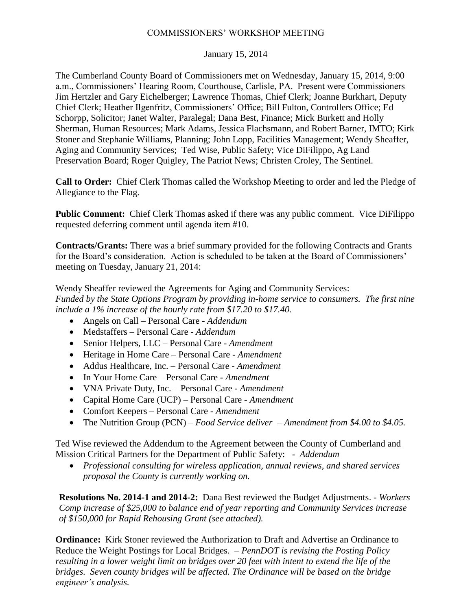## COMMISSIONERS' WORKSHOP MEETING

## January 15, 2014

The Cumberland County Board of Commissioners met on Wednesday, January 15, 2014, 9:00 a.m., Commissioners' Hearing Room, Courthouse, Carlisle, PA. Present were Commissioners Jim Hertzler and Gary Eichelberger; Lawrence Thomas, Chief Clerk; Joanne Burkhart, Deputy Chief Clerk; Heather Ilgenfritz, Commissioners' Office; Bill Fulton, Controllers Office; Ed Schorpp, Solicitor; Janet Walter, Paralegal; Dana Best, Finance; Mick Burkett and Holly Sherman, Human Resources; Mark Adams, Jessica Flachsmann, and Robert Barner, IMTO; Kirk Stoner and Stephanie Williams, Planning; John Lopp, Facilities Management; Wendy Sheaffer, Aging and Community Services; Ted Wise, Public Safety; Vice DiFilippo, Ag Land Preservation Board; Roger Quigley, The Patriot News; Christen Croley, The Sentinel.

**Call to Order:** Chief Clerk Thomas called the Workshop Meeting to order and led the Pledge of Allegiance to the Flag.

**Public Comment:** Chief Clerk Thomas asked if there was any public comment. Vice DiFilippo requested deferring comment until agenda item #10.

**Contracts/Grants:** There was a brief summary provided for the following Contracts and Grants for the Board's consideration. Action is scheduled to be taken at the Board of Commissioners' meeting on Tuesday, January 21, 2014:

Wendy Sheaffer reviewed the Agreements for Aging and Community Services: *Funded by the State Options Program by providing in-home service to consumers. The first nine include a 1% increase of the hourly rate from \$17.20 to \$17.40.* 

- Angels on Call Personal Care *Addendum*
- Medstaffers Personal Care *Addendum*
- Senior Helpers, LLC Personal Care *Amendment*
- Heritage in Home Care Personal Care *Amendment*
- Addus Healthcare, Inc. Personal Care *Amendment*
- In Your Home Care Personal Care *Amendment*
- VNA Private Duty, Inc. Personal Care *Amendment*
- Capital Home Care (UCP) Personal Care *Amendment*
- Comfort Keepers Personal Care *Amendment*
- The Nutrition Group (PCN) *Food Service deliver – Amendment from \$4.00 to \$4.05.*

Ted Wise reviewed the Addendum to the Agreement between the County of Cumberland and Mission Critical Partners for the Department of Public Safety: - *Addendum*

 *Professional consulting for wireless application, annual reviews, and shared services proposal the County is currently working on.*

**Resolutions No. 2014-1 and 2014-2:** Dana Best reviewed the Budget Adjustments. - *Workers Comp increase of \$25,000 to balance end of year reporting and Community Services increase of \$150,000 for Rapid Rehousing Grant (see attached).*

**Ordinance:** Kirk Stoner reviewed the Authorization to Draft and Advertise an Ordinance to Reduce the Weight Postings for Local Bridges. – *PennDOT is revising the Posting Policy resulting in a lower weight limit on bridges over 20 feet with intent to extend the life of the bridges. Seven county bridges will be affected. The Ordinance will be based on the bridge engineer's analysis.*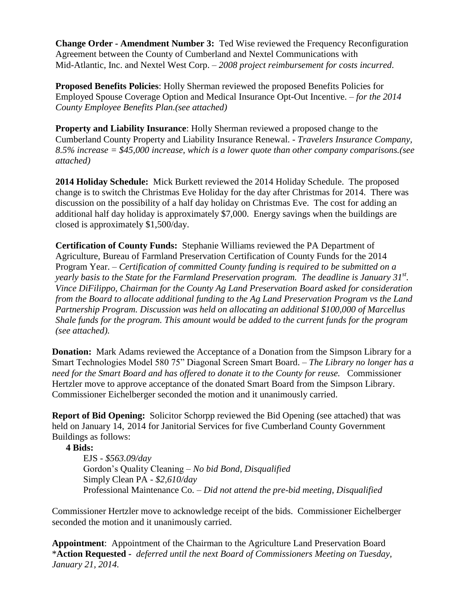**Change Order - Amendment Number 3:** Ted Wise reviewed the Frequency Reconfiguration Agreement between the County of Cumberland and Nextel Communications with Mid-Atlantic, Inc. and Nextel West Corp. – *2008 project reimbursement for costs incurred*.

**Proposed Benefits Policies**: Holly Sherman reviewed the proposed Benefits Policies for Employed Spouse Coverage Option and Medical Insurance Opt-Out Incentive. – *for the 2014 County Employee Benefits Plan.(see attached)*

**Property and Liability Insurance**: Holly Sherman reviewed a proposed change to the Cumberland County Property and Liability Insurance Renewal. - *Travelers Insurance Company, 8.5% increase = \$45,000 increase, which is a lower quote than other company comparisons.(see attached)*

**2014 Holiday Schedule:** Mick Burkett reviewed the 2014 Holiday Schedule. The proposed change is to switch the Christmas Eve Holiday for the day after Christmas for 2014. There was discussion on the possibility of a half day holiday on Christmas Eve. The cost for adding an additional half day holiday is approximately \$7,000. Energy savings when the buildings are closed is approximately \$1,500/day.

**Certification of County Funds:** Stephanie Williams reviewed the PA Department of Agriculture, Bureau of Farmland Preservation Certification of County Funds for the 2014 Program Year. – *Certification of committed County funding is required to be submitted on a yearly basis to the State for the Farmland Preservation program. The deadline is January 31st . Vince DiFilippo, Chairman for the County Ag Land Preservation Board asked for consideration from the Board to allocate additional funding to the Ag Land Preservation Program vs the Land Partnership Program. Discussion was held on allocating an additional \$100,000 of Marcellus Shale funds for the program. This amount would be added to the current funds for the program (see attached).* 

**Donation:** Mark Adams reviewed the Acceptance of a Donation from the Simpson Library for a Smart Technologies Model 580 75" Diagonal Screen Smart Board. – *The Library no longer has a need for the Smart Board and has offered to donate it to the County for reuse.* Commissioner Hertzler move to approve acceptance of the donated Smart Board from the Simpson Library. Commissioner Eichelberger seconded the motion and it unanimously carried.

**Report of Bid Opening:** Solicitor Schorpp reviewed the Bid Opening (see attached) that was held on January 14, 2014 for Janitorial Services for five Cumberland County Government Buildings as follows:

**4 Bids:**

EJS - *\$563.09/day* Gordon's Quality Cleaning *– No bid Bond, Disqualified* Simply Clean PA - *\$2,610/day* Professional Maintenance Co. – *Did not attend the pre-bid meeting, Disqualified*

Commissioner Hertzler move to acknowledge receipt of the bids. Commissioner Eichelberger seconded the motion and it unanimously carried.

**Appointment**: Appointment of the Chairman to the Agriculture Land Preservation Board \***Action Requested -** *deferred until the next Board of Commissioners Meeting on Tuesday, January 21, 2014.*